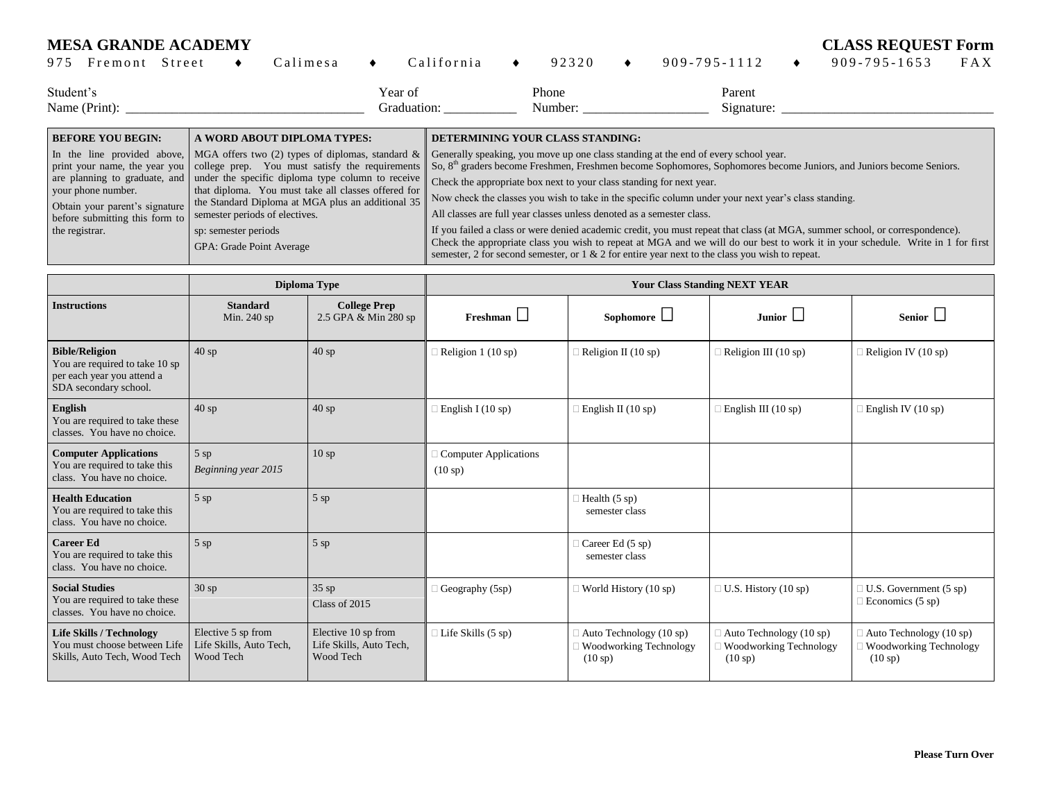## **MESA GRANDE ACADEMY CLASS REQUEST Form**

| 975       | Fremont                  | Street                                                                                                                                                                                                                                                                                                                                                                                                                                                                     |                      | Calimesa                    |  | California                                                                                                                                                                                                                                                                                                                                                                                                                                                                      |                                                                                                                              | 92320                            |  | $909 - 795 - 1112$   |  | $909 - 795 - 1653$ | FAX |
|-----------|--------------------------|----------------------------------------------------------------------------------------------------------------------------------------------------------------------------------------------------------------------------------------------------------------------------------------------------------------------------------------------------------------------------------------------------------------------------------------------------------------------------|----------------------|-----------------------------|--|---------------------------------------------------------------------------------------------------------------------------------------------------------------------------------------------------------------------------------------------------------------------------------------------------------------------------------------------------------------------------------------------------------------------------------------------------------------------------------|------------------------------------------------------------------------------------------------------------------------------|----------------------------------|--|----------------------|--|--------------------|-----|
| Student's | Name (Print):            |                                                                                                                                                                                                                                                                                                                                                                                                                                                                            |                      |                             |  | Year of<br>Graduation:                                                                                                                                                                                                                                                                                                                                                                                                                                                          |                                                                                                                              | Phone<br>Number:                 |  | Parent<br>Signature: |  |                    |     |
|           | <b>BEFORE YOU BEGIN:</b> |                                                                                                                                                                                                                                                                                                                                                                                                                                                                            |                      | A WORD ABOUT DIPLOMA TYPES: |  |                                                                                                                                                                                                                                                                                                                                                                                                                                                                                 |                                                                                                                              | DETERMINING YOUR CLASS STANDING: |  |                      |  |                    |     |
|           | your phone number.       | In the line provided above, $\vert$ MGA offers two (2) types of diplomas, standard &<br>print your name, the year you college prep. You must satisfy the requirements<br>are planning to graduate, and under the specific diploma type column to receive<br>that diploma. You must take all classes offered for<br>the Standard Diploma at MGA plus an additional 35<br>Obtain your parent's signature<br>semester periods of electives.<br>before submitting this form to |                      |                             |  | Generally speaking, you move up one class standing at the end of every school year.<br>So, 8 <sup>th</sup> graders become Freshmen, Freshmen become Sophomores, Sophomores become Juniors, and Juniors become Seniors.<br>Check the appropriate box next to your class standing for next year.<br>Now check the classes you wish to take in the specific column under your next year's class standing.<br>All classes are full year classes unless denoted as a semester class. |                                                                                                                              |                                  |  |                      |  |                    |     |
|           | the registrar.           |                                                                                                                                                                                                                                                                                                                                                                                                                                                                            | sp: semester periods |                             |  |                                                                                                                                                                                                                                                                                                                                                                                                                                                                                 | If you failed a class or were denied academic credit, you must repeat that class (at MGA, summer school, or correspondence). |                                  |  |                      |  |                    |     |

GPA: Grade Point Average

Check the appropriate class you wish to repeat at MGA and we will do our best to work it in your schedule. Write in 1 for first semester, 2 for second semester, or 1 & 2 for entire year next to the class you wish to repeat.

|                                                                                                                |                                                            | Diploma Type                                                | <b>Your Class Standing NEXT YEAR</b>    |                                                                        |                                                                            |                                                                               |  |  |  |
|----------------------------------------------------------------------------------------------------------------|------------------------------------------------------------|-------------------------------------------------------------|-----------------------------------------|------------------------------------------------------------------------|----------------------------------------------------------------------------|-------------------------------------------------------------------------------|--|--|--|
| <b>Instructions</b>                                                                                            | <b>Standard</b><br>Min. 240 sp                             | <b>College Prep</b><br>2.5 GPA & Min 280 sp                 | $F$ reshman                             | Sophomore $\Box$                                                       | Junior $\square$                                                           | Senior $\Box$                                                                 |  |  |  |
| <b>Bible/Religion</b><br>You are required to take 10 sp<br>per each year you attend a<br>SDA secondary school. | 40sp                                                       | $40$ sp                                                     | Religion 1 (10 sp)                      | Religion II (10 sp)                                                    | Religion III (10 sp)                                                       | Religion IV (10 sp)                                                           |  |  |  |
| English<br>You are required to take these<br>classes. You have no choice.                                      | 40sp                                                       | 40sp                                                        | English I (10 sp)                       | $\exists$ English II (10 sp)                                           | $\exists$ English III (10 sp)                                              | English IV $(10 sp)$                                                          |  |  |  |
| <b>Computer Applications</b><br>You are required to take this<br>class. You have no choice.                    | $5$ sp<br>Beginning year 2015                              | 10sp                                                        | <b>Computer Applications</b><br>(10 sp) |                                                                        |                                                                            |                                                                               |  |  |  |
| <b>Health Education</b><br>You are required to take this<br>class. You have no choice.                         | $5$ sp                                                     | $5$ sp                                                      |                                         | Health $(5 sp)$<br>semester class                                      |                                                                            |                                                                               |  |  |  |
| <b>Career Ed</b><br>You are required to take this<br>class. You have no choice.                                | $5$ sp                                                     | $5$ sp                                                      |                                         | Career Ed (5 sp)<br>semester class                                     |                                                                            |                                                                               |  |  |  |
| <b>Social Studies</b><br>You are required to take these<br>classes. You have no choice.                        | 30sp                                                       | $35$ sp<br>Class of 2015                                    | Geography (5sp)                         | $\exists$ World History (10 sp)                                        | $\Box$ U.S. History (10 sp)                                                | U.S. Government (5 sp)<br>Economics $(5 \text{ sp})$                          |  |  |  |
| <b>Life Skills / Technology</b><br>You must choose between Life<br>Skills, Auto Tech, Wood Tech                | Elective 5 sp from<br>Life Skills, Auto Tech,<br>Wood Tech | Elective 10 sp from<br>Life Skills, Auto Tech,<br>Wood Tech | Life Skills (5 sp)                      | $\exists$ Auto Technology (10 sp)<br>Woodworking Technology<br>(10 sp) | $\Box$ Auto Technology (10 sp)<br><b>Woodworking Technology</b><br>(10 sp) | Auto Technology (10 sp)<br><b>Woodworking Technology</b><br>$(10 \text{ sp})$ |  |  |  |